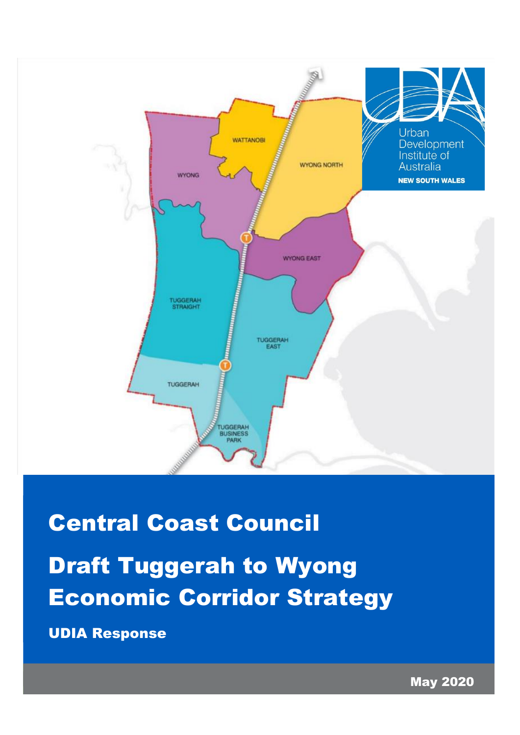

# Central Coast Council Draft Tuggerah to Wyong Economic Corridor Strategy

UDIA Response

May 2020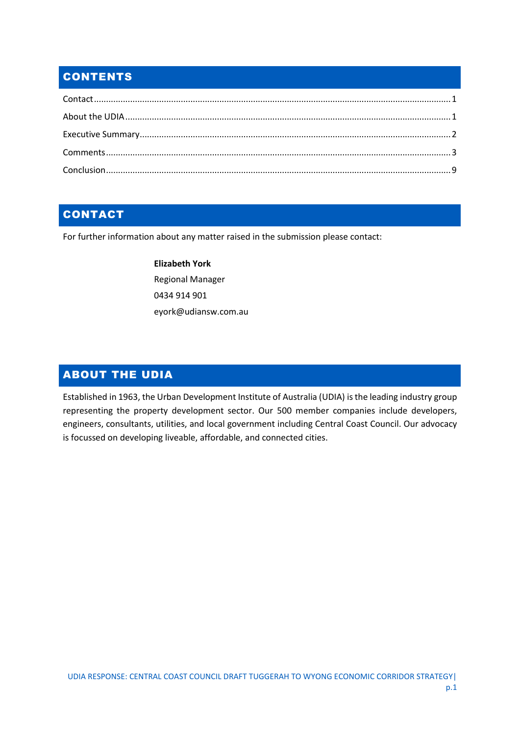# **CONTENTS**

# <span id="page-1-0"></span>CONTACT

For further information about any matter raised in the submission please contact:

**Elizabeth York** Regional Manager 0434 914 901 [eyork@udiansw.com.au](mailto:eyork@udiansw.com.au)

# <span id="page-1-1"></span>ABOUT THE UDIA

Established in 1963, the Urban Development Institute of Australia (UDIA) is the leading industry group representing the property development sector. Our 500 member companies include developers, engineers, consultants, utilities, and local government including Central Coast Council. Our advocacy is focussed on developing liveable, affordable, and connected cities.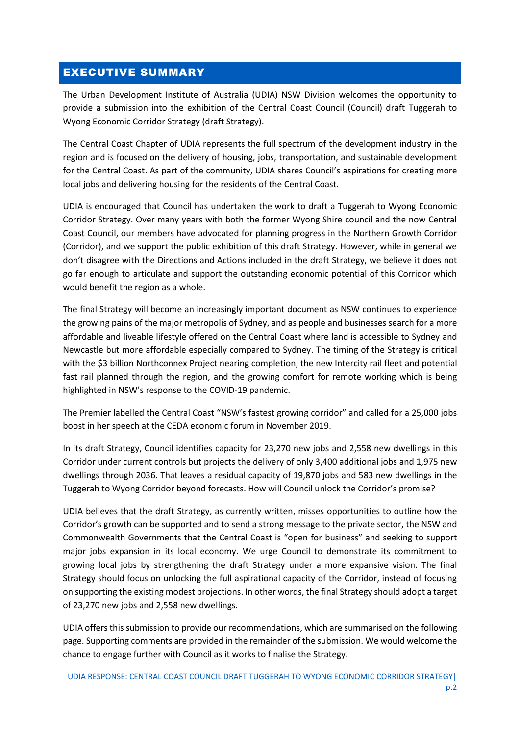## <span id="page-2-0"></span>EXECUTIVE SUMMARY

The Urban Development Institute of Australia (UDIA) NSW Division welcomes the opportunity to provide a submission into the exhibition of the Central Coast Council (Council) draft Tuggerah to Wyong Economic Corridor Strategy (draft Strategy).

The Central Coast Chapter of UDIA represents the full spectrum of the development industry in the region and is focused on the delivery of housing, jobs, transportation, and sustainable development for the Central Coast. As part of the community, UDIA shares Council's aspirations for creating more local jobs and delivering housing for the residents of the Central Coast.

UDIA is encouraged that Council has undertaken the work to draft a Tuggerah to Wyong Economic Corridor Strategy. Over many years with both the former Wyong Shire council and the now Central Coast Council, our members have advocated for planning progress in the Northern Growth Corridor (Corridor), and we support the public exhibition of this draft Strategy. However, while in general we don't disagree with the Directions and Actions included in the draft Strategy, we believe it does not go far enough to articulate and support the outstanding economic potential of this Corridor which would benefit the region as a whole.

The final Strategy will become an increasingly important document as NSW continues to experience the growing pains of the major metropolis of Sydney, and as people and businesses search for a more affordable and liveable lifestyle offered on the Central Coast where land is accessible to Sydney and Newcastle but more affordable especially compared to Sydney. The timing of the Strategy is critical with the \$3 billion Northconnex Project nearing completion, the new Intercity rail fleet and potential fast rail planned through the region, and the growing comfort for remote working which is being highlighted in NSW's response to the COVID-19 pandemic.

The Premier labelled the Central Coast "NSW's fastest growing corridor" and called for a 25,000 jobs boost in her speech at the CEDA economic forum in November 2019.

In its draft Strategy, Council identifies capacity for 23,270 new jobs and 2,558 new dwellings in this Corridor under current controls but projects the delivery of only 3,400 additional jobs and 1,975 new dwellings through 2036. That leaves a residual capacity of 19,870 jobs and 583 new dwellings in the Tuggerah to Wyong Corridor beyond forecasts. How will Council unlock the Corridor's promise?

UDIA believes that the draft Strategy, as currently written, misses opportunities to outline how the Corridor's growth can be supported and to send a strong message to the private sector, the NSW and Commonwealth Governments that the Central Coast is "open for business" and seeking to support major jobs expansion in its local economy. We urge Council to demonstrate its commitment to growing local jobs by strengthening the draft Strategy under a more expansive vision. The final Strategy should focus on unlocking the full aspirational capacity of the Corridor, instead of focusing on supporting the existing modest projections. In other words, the final Strategy should adopt a target of 23,270 new jobs and 2,558 new dwellings.

UDIA offers this submission to provide our recommendations, which are summarised on the following page. Supporting comments are provided in the remainder of the submission. We would welcome the chance to engage further with Council as it works to finalise the Strategy.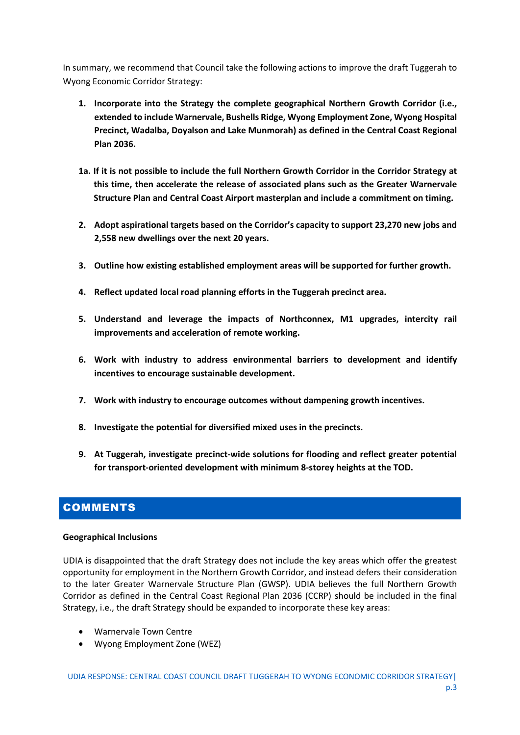In summary, we recommend that Council take the following actions to improve the draft Tuggerah to Wyong Economic Corridor Strategy:

- **1. Incorporate into the Strategy the complete geographical Northern Growth Corridor (i.e., extended to include Warnervale, Bushells Ridge, Wyong Employment Zone, Wyong Hospital Precinct, Wadalba, Doyalson and Lake Munmorah) as defined in the Central Coast Regional Plan 2036.**
- **1a. If it is not possible to include the full Northern Growth Corridor in the Corridor Strategy at this time, then accelerate the release of associated plans such as the Greater Warnervale Structure Plan and Central Coast Airport masterplan and include a commitment on timing.**
- **2. Adopt aspirational targets based on the Corridor's capacity to support 23,270 new jobs and 2,558 new dwellings over the next 20 years.**
- **3. Outline how existing established employment areas will be supported for further growth.**
- **4. Reflect updated local road planning efforts in the Tuggerah precinct area.**
- **5. Understand and leverage the impacts of Northconnex, M1 upgrades, intercity rail improvements and acceleration of remote working.**
- **6. Work with industry to address environmental barriers to development and identify incentives to encourage sustainable development.**
- **7. Work with industry to encourage outcomes without dampening growth incentives.**
- **8. Investigate the potential for diversified mixed uses in the precincts.**
- **9. At Tuggerah, investigate precinct-wide solutions for flooding and reflect greater potential for transport-oriented development with minimum 8-storey heights at the TOD.**

## <span id="page-3-0"></span>**COMMENTS**

### **Geographical Inclusions**

UDIA is disappointed that the draft Strategy does not include the key areas which offer the greatest opportunity for employment in the Northern Growth Corridor, and instead defers their consideration to the later Greater Warnervale Structure Plan (GWSP). UDIA believes the full Northern Growth Corridor as defined in the Central Coast Regional Plan 2036 (CCRP) should be included in the final Strategy, i.e., the draft Strategy should be expanded to incorporate these key areas:

- Warnervale Town Centre
- Wyong Employment Zone (WEZ)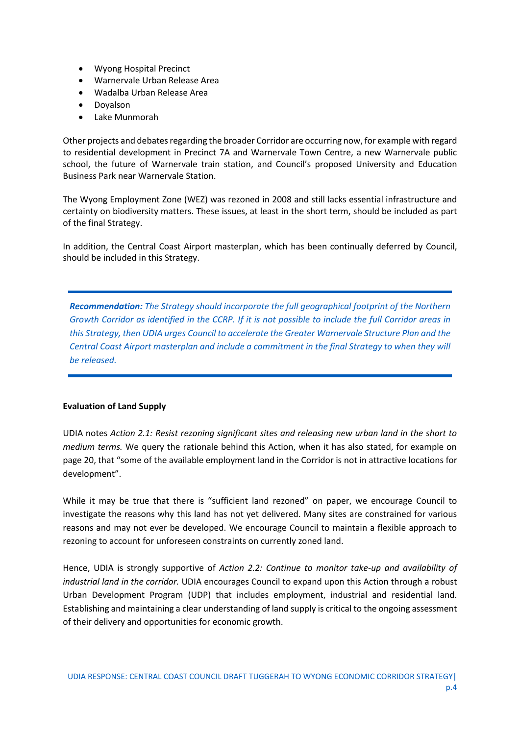- Wyong Hospital Precinct
- Warnervale Urban Release Area
- Wadalba Urban Release Area
- Doyalson
- Lake Munmorah

Other projects and debates regarding the broader Corridor are occurring now, for example with regard to residential development in Precinct 7A and Warnervale Town Centre, a new Warnervale public school, the future of Warnervale train station, and Council's proposed University and Education Business Park near Warnervale Station.

The Wyong Employment Zone (WEZ) was rezoned in 2008 and still lacks essential infrastructure and certainty on biodiversity matters. These issues, at least in the short term, should be included as part of the final Strategy.

In addition, the Central Coast Airport masterplan, which has been continually deferred by Council, should be included in this Strategy.

*Recommendation: The Strategy should incorporate the full geographical footprint of the Northern Growth Corridor as identified in the CCRP. If it is not possible to include the full Corridor areas in this Strategy, then UDIA urges Council to accelerate the Greater Warnervale Structure Plan and the Central Coast Airport masterplan and include a commitment in the final Strategy to when they will be released.*

### **Evaluation of Land Supply**

UDIA notes *Action 2.1: Resist rezoning significant sites and releasing new urban land in the short to medium terms.* We query the rationale behind this Action, when it has also stated, for example on page 20, that "some of the available employment land in the Corridor is not in attractive locations for development".

While it may be true that there is "sufficient land rezoned" on paper, we encourage Council to investigate the reasons why this land has not yet delivered. Many sites are constrained for various reasons and may not ever be developed. We encourage Council to maintain a flexible approach to rezoning to account for unforeseen constraints on currently zoned land.

Hence, UDIA is strongly supportive of *Action 2.2: Continue to monitor take-up and availability of industrial land in the corridor.* UDIA encourages Council to expand upon this Action through a robust Urban Development Program (UDP) that includes employment, industrial and residential land. Establishing and maintaining a clear understanding of land supply is critical to the ongoing assessment of their delivery and opportunities for economic growth.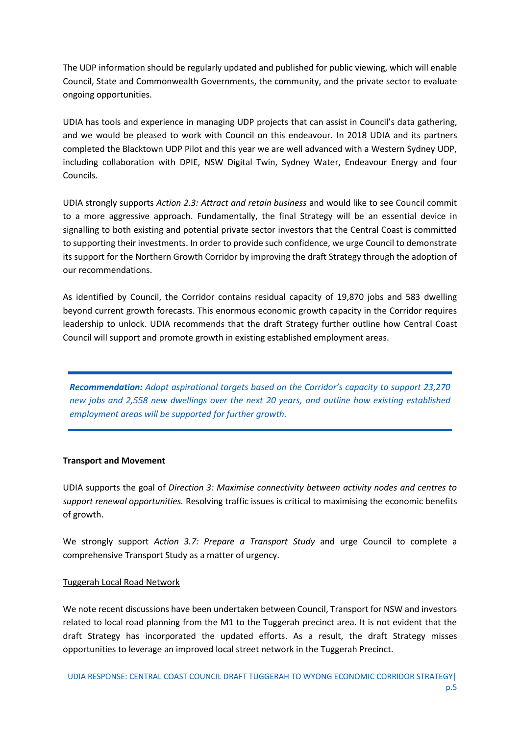The UDP information should be regularly updated and published for public viewing, which will enable Council, State and Commonwealth Governments, the community, and the private sector to evaluate ongoing opportunities.

UDIA has tools and experience in managing UDP projects that can assist in Council's data gathering, and we would be pleased to work with Council on this endeavour. In 2018 UDIA and its partners completed the Blacktown UDP Pilot and this year we are well advanced with a Western Sydney UDP, including collaboration with DPIE, NSW Digital Twin, Sydney Water, Endeavour Energy and four Councils.

UDIA strongly supports *Action 2.3: Attract and retain business* and would like to see Council commit to a more aggressive approach. Fundamentally, the final Strategy will be an essential device in signalling to both existing and potential private sector investors that the Central Coast is committed to supporting their investments. In order to provide such confidence, we urge Council to demonstrate its support for the Northern Growth Corridor by improving the draft Strategy through the adoption of our recommendations.

As identified by Council, the Corridor contains residual capacity of 19,870 jobs and 583 dwelling beyond current growth forecasts. This enormous economic growth capacity in the Corridor requires leadership to unlock. UDIA recommends that the draft Strategy further outline how Central Coast Council will support and promote growth in existing established employment areas.

*Recommendation: Adopt aspirational targets based on the Corridor's capacity to support 23,270 new jobs and 2,558 new dwellings over the next 20 years, and outline how existing established employment areas will be supported for further growth.*

### **Transport and Movement**

UDIA supports the goal of *Direction 3: Maximise connectivity between activity nodes and centres to support renewal opportunities.* Resolving traffic issues is critical to maximising the economic benefits of growth.

We strongly support *Action 3.7: Prepare a Transport Study* and urge Council to complete a comprehensive Transport Study as a matter of urgency.

#### Tuggerah Local Road Network

We note recent discussions have been undertaken between Council, Transport for NSW and investors related to local road planning from the M1 to the Tuggerah precinct area. It is not evident that the draft Strategy has incorporated the updated efforts. As a result, the draft Strategy misses opportunities to leverage an improved local street network in the Tuggerah Precinct.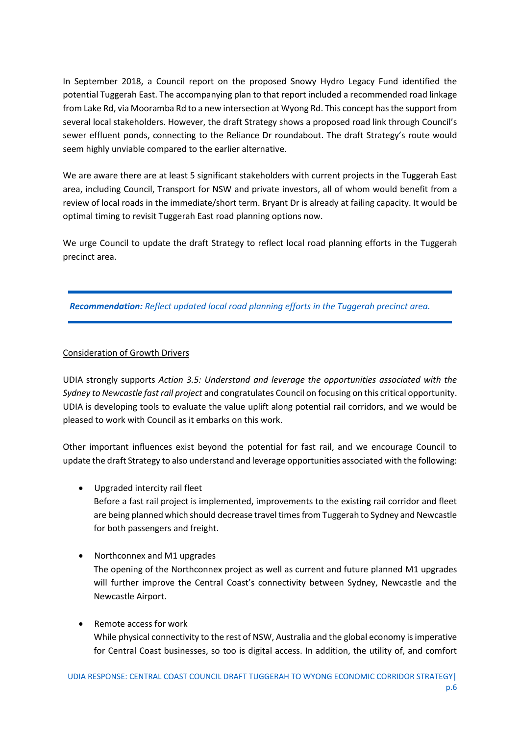In September 2018, a Council report on the proposed Snowy Hydro Legacy Fund identified the potential Tuggerah East. The accompanying plan to that report included a recommended road linkage from Lake Rd, via Mooramba Rd to a new intersection at Wyong Rd. This concept has the support from several local stakeholders. However, the draft Strategy shows a proposed road link through Council's sewer effluent ponds, connecting to the Reliance Dr roundabout. The draft Strategy's route would seem highly unviable compared to the earlier alternative.

We are aware there are at least 5 significant stakeholders with current projects in the Tuggerah East area, including Council, Transport for NSW and private investors, all of whom would benefit from a review of local roads in the immediate/short term. Bryant Dr is already at failing capacity. It would be optimal timing to revisit Tuggerah East road planning options now.

We urge Council to update the draft Strategy to reflect local road planning efforts in the Tuggerah precinct area.

*Recommendation: Reflect updated local road planning efforts in the Tuggerah precinct area.*

## Consideration of Growth Drivers

UDIA strongly supports *Action 3.5: Understand and leverage the opportunities associated with the Sydney to Newcastle fast rail project* and congratulates Council on focusing on this critical opportunity. UDIA is developing tools to evaluate the value uplift along potential rail corridors, and we would be pleased to work with Council as it embarks on this work.

Other important influences exist beyond the potential for fast rail, and we encourage Council to update the draft Strategy to also understand and leverage opportunities associated with the following:

• Upgraded intercity rail fleet

Before a fast rail project is implemented, improvements to the existing rail corridor and fleet are being planned which should decrease travel times from Tuggerah to Sydney and Newcastle for both passengers and freight.

## • Northconnex and M1 upgrades

The opening of the Northconnex project as well as current and future planned M1 upgrades will further improve the Central Coast's connectivity between Sydney, Newcastle and the Newcastle Airport.

• Remote access for work

While physical connectivity to the rest of NSW, Australia and the global economy is imperative for Central Coast businesses, so too is digital access. In addition, the utility of, and comfort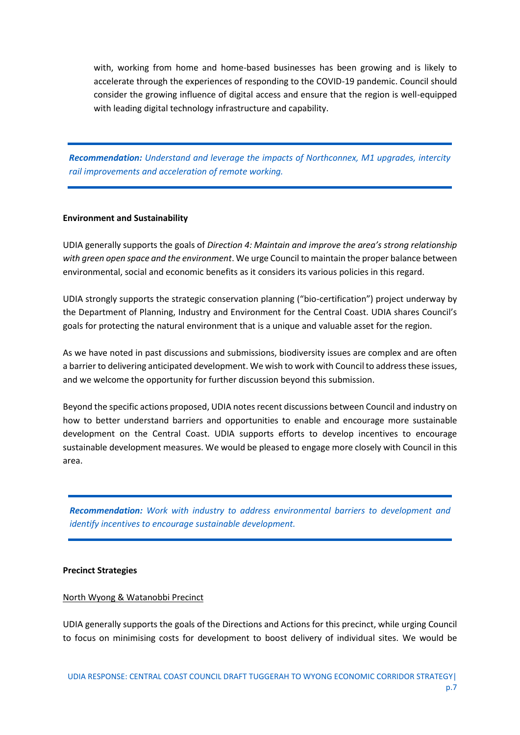with, working from home and home-based businesses has been growing and is likely to accelerate through the experiences of responding to the COVID-19 pandemic. Council should consider the growing influence of digital access and ensure that the region is well-equipped with leading digital technology infrastructure and capability.

*Recommendation: Understand and leverage the impacts of Northconnex, M1 upgrades, intercity rail improvements and acceleration of remote working.*

#### **Environment and Sustainability**

UDIA generally supports the goals of *Direction 4: Maintain and improve the area's strong relationship with green open space and the environment*. We urge Council to maintain the proper balance between environmental, social and economic benefits as it considers its various policies in this regard.

UDIA strongly supports the strategic conservation planning ("bio-certification") project underway by the Department of Planning, Industry and Environment for the Central Coast. UDIA shares Council's goals for protecting the natural environment that is a unique and valuable asset for the region.

As we have noted in past discussions and submissions, biodiversity issues are complex and are often a barrier to delivering anticipated development. We wish to work with Council to address these issues, and we welcome the opportunity for further discussion beyond this submission.

Beyond the specific actions proposed, UDIA notes recent discussions between Council and industry on how to better understand barriers and opportunities to enable and encourage more sustainable development on the Central Coast. UDIA supports efforts to develop incentives to encourage sustainable development measures. We would be pleased to engage more closely with Council in this area.

*Recommendation: Work with industry to address environmental barriers to development and identify incentives to encourage sustainable development.*

#### **Precinct Strategies**

#### North Wyong & Watanobbi Precinct

UDIA generally supports the goals of the Directions and Actions for this precinct, while urging Council to focus on minimising costs for development to boost delivery of individual sites. We would be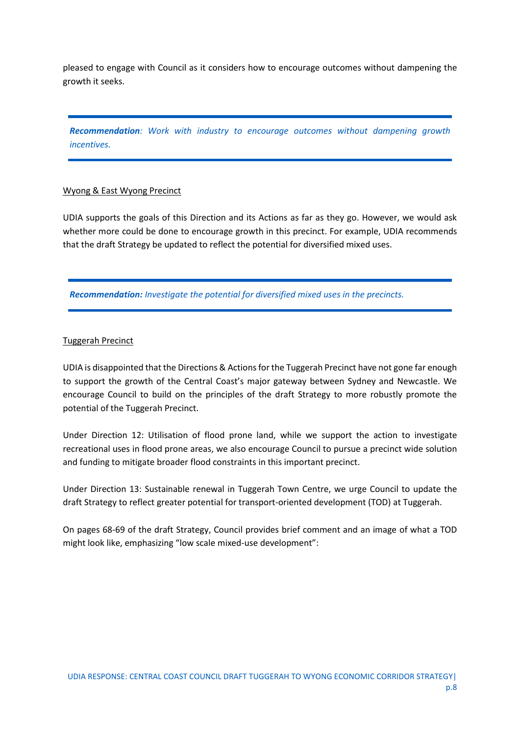pleased to engage with Council as it considers how to encourage outcomes without dampening the growth it seeks.

*Recommendation: Work with industry to encourage outcomes without dampening growth incentives.*

## Wyong & East Wyong Precinct

UDIA supports the goals of this Direction and its Actions as far as they go. However, we would ask whether more could be done to encourage growth in this precinct. For example, UDIA recommends that the draft Strategy be updated to reflect the potential for diversified mixed uses.

*Recommendation: Investigate the potential for diversified mixed uses in the precincts.*

### Tuggerah Precinct

UDIA is disappointed that the Directions & Actions for the Tuggerah Precinct have not gone far enough to support the growth of the Central Coast's major gateway between Sydney and Newcastle. We encourage Council to build on the principles of the draft Strategy to more robustly promote the potential of the Tuggerah Precinct.

Under Direction 12: Utilisation of flood prone land, while we support the action to investigate recreational uses in flood prone areas, we also encourage Council to pursue a precinct wide solution and funding to mitigate broader flood constraints in this important precinct.

Under Direction 13: Sustainable renewal in Tuggerah Town Centre, we urge Council to update the draft Strategy to reflect greater potential for transport-oriented development (TOD) at Tuggerah.

On pages 68-69 of the draft Strategy, Council provides brief comment and an image of what a TOD might look like, emphasizing "low scale mixed-use development":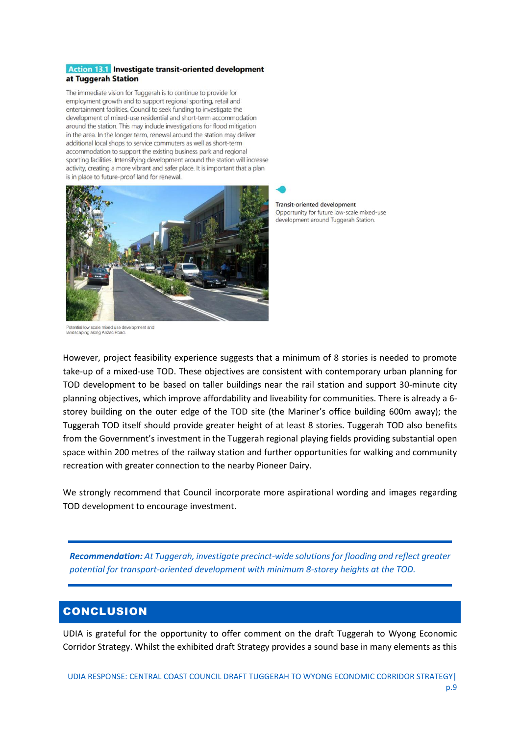#### Action 13.1 Investigate transit-oriented development at Tuggerah Station

The immediate vision for Tuggerah is to continue to provide for employment growth and to support regional sporting, retail and entertainment facilities. Council to seek funding to investigate the development of mixed-use residential and short-term accommodation around the station. This may include investigations for flood mitigation in the area. In the longer term, renewal around the station may deliver additional local shops to service commuters as well as short-term accommodation to support the existing business park and regional sporting facilities. Intensifying development around the station will increase activity, creating a more vibrant and safer place. It is important that a plan is in place to future-proof land for renewal.



**Transit-oriented development** Opportunity for future low-scale mixed-use development around Tuggerah Station.

Potential low scale mixed use development and ndscaping along Anzac Road

However, project feasibility experience suggests that a minimum of 8 stories is needed to promote take-up of a mixed-use TOD. These objectives are consistent with contemporary urban planning for TOD development to be based on taller buildings near the rail station and support 30-minute city planning objectives, which improve affordability and liveability for communities. There is already a 6 storey building on the outer edge of the TOD site (the Mariner's office building 600m away); the Tuggerah TOD itself should provide greater height of at least 8 stories. Tuggerah TOD also benefits from the Government's investment in the Tuggerah regional playing fields providing substantial open space within 200 metres of the railway station and further opportunities for walking and community recreation with greater connection to the nearby Pioneer Dairy.

We strongly recommend that Council incorporate more aspirational wording and images regarding TOD development to encourage investment.

*Recommendation: At Tuggerah, investigate precinct-wide solutions for flooding and reflect greater potential for transport-oriented development with minimum 8-storey heights at the TOD.*

## <span id="page-9-0"></span>**CONCLUSION**

UDIA is grateful for the opportunity to offer comment on the draft Tuggerah to Wyong Economic Corridor Strategy. Whilst the exhibited draft Strategy provides a sound base in many elements as this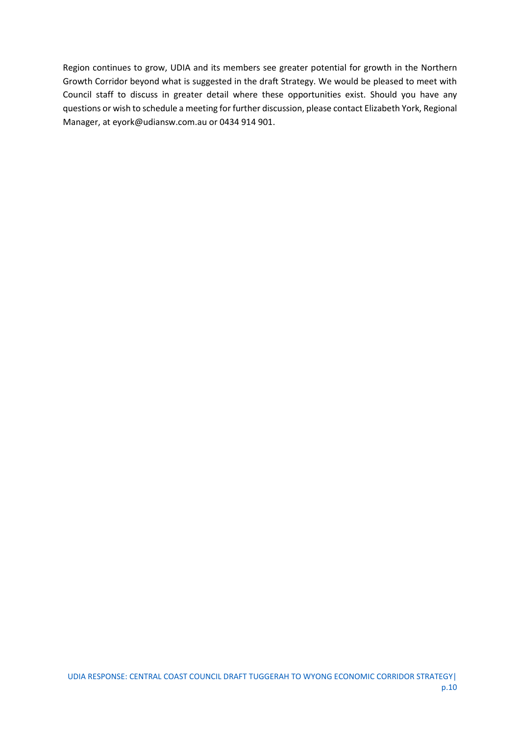Region continues to grow, UDIA and its members see greater potential for growth in the Northern Growth Corridor beyond what is suggested in the draft Strategy. We would be pleased to meet with Council staff to discuss in greater detail where these opportunities exist. Should you have any questions or wish to schedule a meeting for further discussion, please contact Elizabeth York, Regional Manager, at [eyork@udiansw.com.au](mailto:eyork@udiansw.com.au) or 0434 914 901.